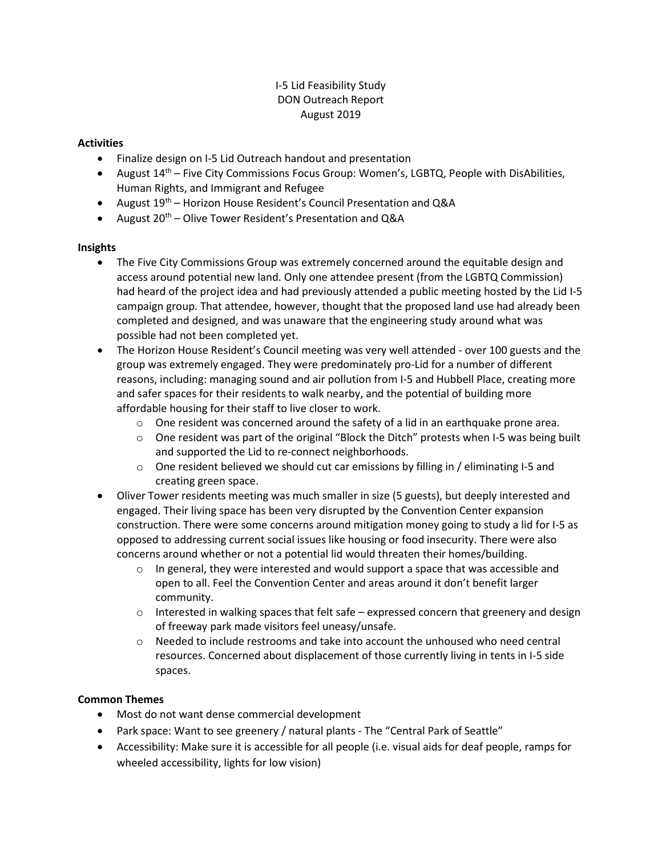# I-5 Lid Feasibility Study DON Outreach Report August 2019

#### **Activities**

- Finalize design on I-5 Lid Outreach handout and presentation
- August  $14<sup>th</sup>$  Five City Commissions Focus Group: Women's, LGBTQ, People with DisAbilities, Human Rights, and Immigrant and Refugee
- August  $19^{th}$  Horizon House Resident's Council Presentation and Q&A
- August  $20^{th}$  Olive Tower Resident's Presentation and Q&A

#### Insights

- The Five City Commissions Group was extremely concerned around the equitable design and access around potential new land. Only one attendee present (from the LGBTQ Commission) had heard of the project idea and had previously attended a public meeting hosted by the Lid I-5 campaign group. That attendee, however, thought that the proposed land use had already been completed and designed, and was unaware that the engineering study around what was possible had not been completed yet.
- The Horizon House Resident's Council meeting was very well attended over 100 guests and the group was extremely engaged. They were predominately pro-Lid for a number of different reasons, including: managing sound and air pollution from I-5 and Hubbell Place, creating more and safer spaces for their residents to walk nearby, and the potential of building more affordable housing for their staff to live closer to work.
	- $\circ$  One resident was concerned around the safety of a lid in an earthquake prone area.
	- $\circ$  One resident was part of the original "Block the Ditch" protests when I-5 was being built and supported the Lid to re-connect neighborhoods.
	- $\circ$  One resident believed we should cut car emissions by filling in / eliminating I-5 and creating green space.
- Oliver Tower residents meeting was much smaller in size (5 guests), but deeply interested and engaged. Their living space has been very disrupted by the Convention Center expansion construction. There were some concerns around mitigation money going to study a lid for I-5 as opposed to addressing current social issues like housing or food insecurity. There were also concerns around whether or not a potential lid would threaten their homes/building.
	- $\circ$  In general, they were interested and would support a space that was accessible and open to all. Feel the Convention Center and areas around it don't benefit larger community.
	- $\circ$  Interested in walking spaces that felt safe expressed concern that greenery and design of freeway park made visitors feel uneasy/unsafe.
	- $\circ$  Needed to include restrooms and take into account the unhoused who need central resources. Concerned about displacement of those currently living in tents in I-5 side spaces.

### Common Themes

- Most do not want dense commercial development
- Park space: Want to see greenery / natural plants The "Central Park of Seattle"
- Accessibility: Make sure it is accessible for all people (i.e. visual aids for deaf people, ramps for wheeled accessibility, lights for low vision)